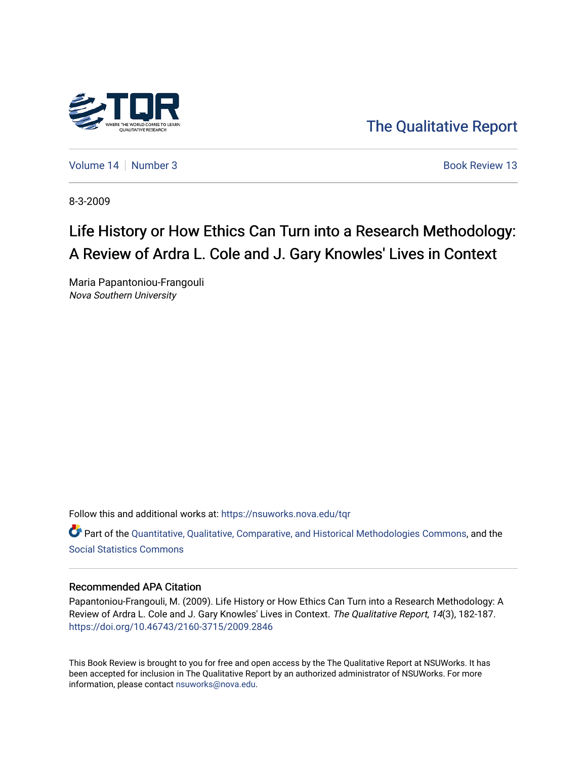

[The Qualitative Report](https://nsuworks.nova.edu/tqr) 

[Volume 14](https://nsuworks.nova.edu/tqr/vol14) | [Number 3](https://nsuworks.nova.edu/tqr/vol14/iss3) Book Review 13

8-3-2009

# Life History or How Ethics Can Turn into a Research Methodology: A Review of Ardra L. Cole and J. Gary Knowles' Lives in Context

Maria Papantoniou-Frangouli Nova Southern University

Follow this and additional works at: [https://nsuworks.nova.edu/tqr](https://nsuworks.nova.edu/tqr?utm_source=nsuworks.nova.edu%2Ftqr%2Fvol14%2Fiss3%2F13&utm_medium=PDF&utm_campaign=PDFCoverPages) 

Part of the [Quantitative, Qualitative, Comparative, and Historical Methodologies Commons,](http://network.bepress.com/hgg/discipline/423?utm_source=nsuworks.nova.edu%2Ftqr%2Fvol14%2Fiss3%2F13&utm_medium=PDF&utm_campaign=PDFCoverPages) and the [Social Statistics Commons](http://network.bepress.com/hgg/discipline/1275?utm_source=nsuworks.nova.edu%2Ftqr%2Fvol14%2Fiss3%2F13&utm_medium=PDF&utm_campaign=PDFCoverPages) 

#### Recommended APA Citation

Papantoniou-Frangouli, M. (2009). Life History or How Ethics Can Turn into a Research Methodology: A Review of Ardra L. Cole and J. Gary Knowles' Lives in Context. The Qualitative Report, 14(3), 182-187. <https://doi.org/10.46743/2160-3715/2009.2846>

This Book Review is brought to you for free and open access by the The Qualitative Report at NSUWorks. It has been accepted for inclusion in The Qualitative Report by an authorized administrator of NSUWorks. For more information, please contact [nsuworks@nova.edu.](mailto:nsuworks@nova.edu)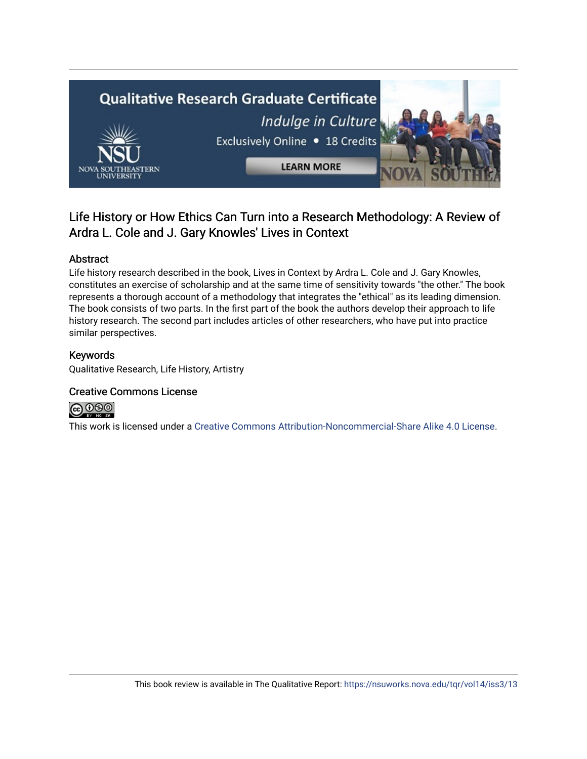

# Life History or How Ethics Can Turn into a Research Methodology: A Review of Ardra L. Cole and J. Gary Knowles' Lives in Context

### Abstract

Life history research described in the book, Lives in Context by Ardra L. Cole and J. Gary Knowles, constitutes an exercise of scholarship and at the same time of sensitivity towards "the other." The book represents a thorough account of a methodology that integrates the "ethical" as its leading dimension. The book consists of two parts. In the first part of the book the authors develop their approach to life history research. The second part includes articles of other researchers, who have put into practice similar perspectives.

### Keywords

Qualitative Research, Life History, Artistry

### Creative Commons License



This work is licensed under a [Creative Commons Attribution-Noncommercial-Share Alike 4.0 License](https://creativecommons.org/licenses/by-nc-sa/4.0/).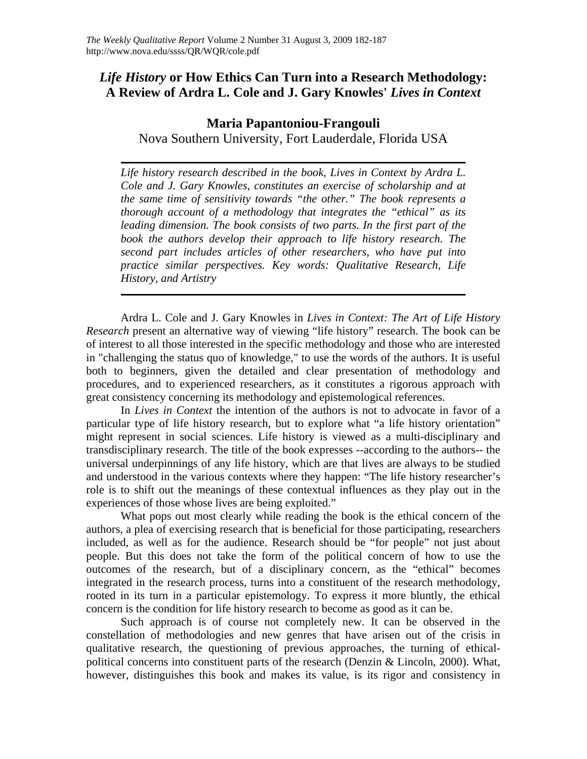# *Life History* **or How Ethics Can Turn into a Research Methodology: A Review of Ardra L. Cole and J. Gary Knowles'** *Lives in Context*

## **Maria Papantoniou-Frangouli**

Nova Southern University, Fort Lauderdale, Florida USA

*Life history research described in the book, Lives in Context by Ardra L. Cole and J. Gary Knowles, constitutes an exercise of scholarship and at the same time of sensitivity towards "the other." The book represents a thorough account of a methodology that integrates the "ethical" as its leading dimension. The book consists of two parts. In the first part of the book the authors develop their approach to life history research. The second part includes articles of other researchers, who have put into practice similar perspectives. Key words: Qualitative Research, Life History, and Artistry* 

Ardra L. Cole and J. Gary Knowles in *Lives in Context: The Art of Life History Research* present an alternative way of viewing "life history" research. The book can be of interest to all those interested in the specific methodology and those who are interested in "challenging the status quo of knowledge," to use the words of the authors. It is useful both to beginners, given the detailed and clear presentation of methodology and procedures, and to experienced researchers, as it constitutes a rigorous approach with great consistency concerning its methodology and epistemological references.

In *Lives in Context* the intention of the authors is not to advocate in favor of a particular type of life history research, but to explore what "a life history orientation" might represent in social sciences. Life history is viewed as a multi-disciplinary and transdisciplinary research. The title of the book expresses --according to the authors-- the universal underpinnings of any life history, which are that lives are always to be studied and understood in the various contexts where they happen: "The life history researcher's role is to shift out the meanings of these contextual influences as they play out in the experiences of those whose lives are being exploited."

What pops out most clearly while reading the book is the ethical concern of the authors, a plea of exercising research that is beneficial for those participating, researchers included, as well as for the audience. Research should be "for people" not just about people. But this does not take the form of the political concern of how to use the outcomes of the research, but of a disciplinary concern, as the "ethical" becomes integrated in the research process, turns into a constituent of the research methodology, rooted in its turn in a particular epistemology. To express it more bluntly, the ethical concern is the condition for life history research to become as good as it can be.

Such approach is of course not completely new. It can be observed in the constellation of methodologies and new genres that have arisen out of the crisis in qualitative research, the questioning of previous approaches, the turning of ethicalpolitical concerns into constituent parts of the research (Denzin & Lincoln, 2000). What, however, distinguishes this book and makes its value, is its rigor and consistency in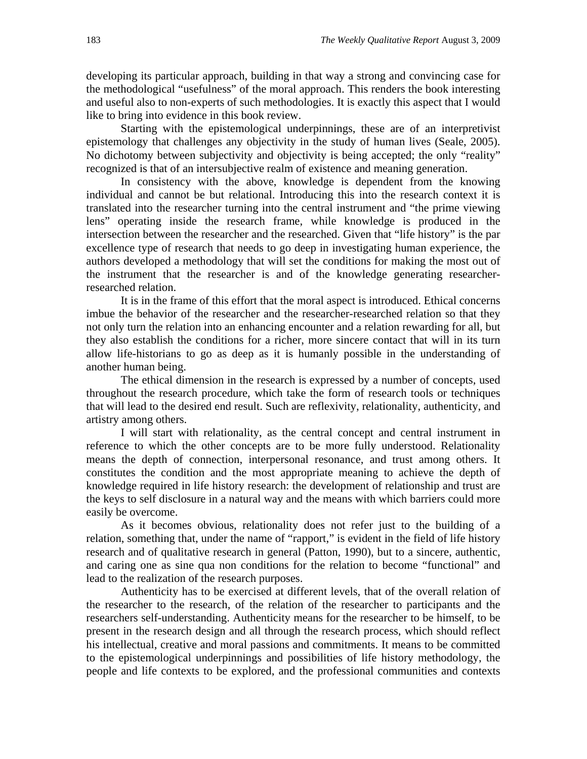developing its particular approach, building in that way a strong and convincing case for the methodological "usefulness" of the moral approach. This renders the book interesting and useful also to non-experts of such methodologies. It is exactly this aspect that I would like to bring into evidence in this book review.

Starting with the epistemological underpinnings, these are of an interpretivist epistemology that challenges any objectivity in the study of human lives (Seale, 2005). No dichotomy between subjectivity and objectivity is being accepted; the only "reality" recognized is that of an intersubjective realm of existence and meaning generation.

In consistency with the above, knowledge is dependent from the knowing individual and cannot be but relational. Introducing this into the research context it is translated into the researcher turning into the central instrument and "the prime viewing lens" operating inside the research frame, while knowledge is produced in the intersection between the researcher and the researched. Given that "life history" is the par excellence type of research that needs to go deep in investigating human experience, the authors developed a methodology that will set the conditions for making the most out of the instrument that the researcher is and of the knowledge generating researcherresearched relation.

It is in the frame of this effort that the moral aspect is introduced. Ethical concerns imbue the behavior of the researcher and the researcher-researched relation so that they not only turn the relation into an enhancing encounter and a relation rewarding for all, but they also establish the conditions for a richer, more sincere contact that will in its turn allow life-historians to go as deep as it is humanly possible in the understanding of another human being.

The ethical dimension in the research is expressed by a number of concepts, used throughout the research procedure, which take the form of research tools or techniques that will lead to the desired end result. Such are reflexivity, relationality, authenticity, and artistry among others.

I will start with relationality, as the central concept and central instrument in reference to which the other concepts are to be more fully understood. Relationality means the depth of connection, interpersonal resonance, and trust among others. It constitutes the condition and the most appropriate meaning to achieve the depth of knowledge required in life history research: the development of relationship and trust are the keys to self disclosure in a natural way and the means with which barriers could more easily be overcome.

As it becomes obvious, relationality does not refer just to the building of a relation, something that, under the name of "rapport," is evident in the field of life history research and of qualitative research in general (Patton, 1990), but to a sincere, authentic, and caring one as sine qua non conditions for the relation to become "functional" and lead to the realization of the research purposes.

Authenticity has to be exercised at different levels, that of the overall relation of the researcher to the research, of the relation of the researcher to participants and the researchers self-understanding. Authenticity means for the researcher to be himself, to be present in the research design and all through the research process, which should reflect his intellectual, creative and moral passions and commitments. It means to be committed to the epistemological underpinnings and possibilities of life history methodology, the people and life contexts to be explored, and the professional communities and contexts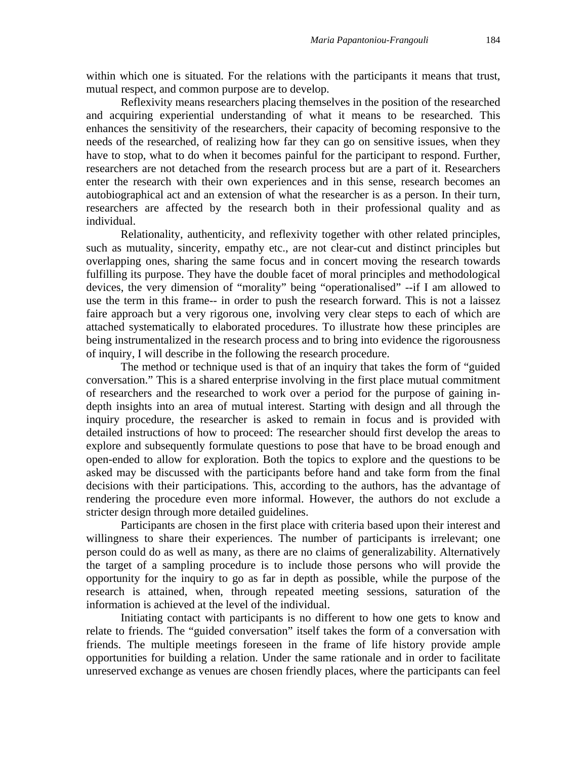within which one is situated. For the relations with the participants it means that trust, mutual respect, and common purpose are to develop.

Reflexivity means researchers placing themselves in the position of the researched and acquiring experiential understanding of what it means to be researched. This enhances the sensitivity of the researchers, their capacity of becoming responsive to the needs of the researched, of realizing how far they can go on sensitive issues, when they have to stop, what to do when it becomes painful for the participant to respond. Further, researchers are not detached from the research process but are a part of it. Researchers enter the research with their own experiences and in this sense, research becomes an autobiographical act and an extension of what the researcher is as a person. In their turn, researchers are affected by the research both in their professional quality and as individual.

Relationality, authenticity, and reflexivity together with other related principles, such as mutuality, sincerity, empathy etc., are not clear-cut and distinct principles but overlapping ones, sharing the same focus and in concert moving the research towards fulfilling its purpose. They have the double facet of moral principles and methodological devices, the very dimension of "morality" being "operationalised" --if I am allowed to use the term in this frame-- in order to push the research forward. This is not a laissez faire approach but a very rigorous one, involving very clear steps to each of which are attached systematically to elaborated procedures. To illustrate how these principles are being instrumentalized in the research process and to bring into evidence the rigorousness of inquiry, I will describe in the following the research procedure.

The method or technique used is that of an inquiry that takes the form of "guided conversation." This is a shared enterprise involving in the first place mutual commitment of researchers and the researched to work over a period for the purpose of gaining indepth insights into an area of mutual interest. Starting with design and all through the inquiry procedure, the researcher is asked to remain in focus and is provided with detailed instructions of how to proceed: The researcher should first develop the areas to explore and subsequently formulate questions to pose that have to be broad enough and open-ended to allow for exploration. Both the topics to explore and the questions to be asked may be discussed with the participants before hand and take form from the final decisions with their participations. This, according to the authors, has the advantage of rendering the procedure even more informal. However, the authors do not exclude a stricter design through more detailed guidelines.

Participants are chosen in the first place with criteria based upon their interest and willingness to share their experiences. The number of participants is irrelevant; one person could do as well as many, as there are no claims of generalizability. Alternatively the target of a sampling procedure is to include those persons who will provide the opportunity for the inquiry to go as far in depth as possible, while the purpose of the research is attained, when, through repeated meeting sessions, saturation of the information is achieved at the level of the individual.

Initiating contact with participants is no different to how one gets to know and relate to friends. The "guided conversation" itself takes the form of a conversation with friends. The multiple meetings foreseen in the frame of life history provide ample opportunities for building a relation. Under the same rationale and in order to facilitate unreserved exchange as venues are chosen friendly places, where the participants can feel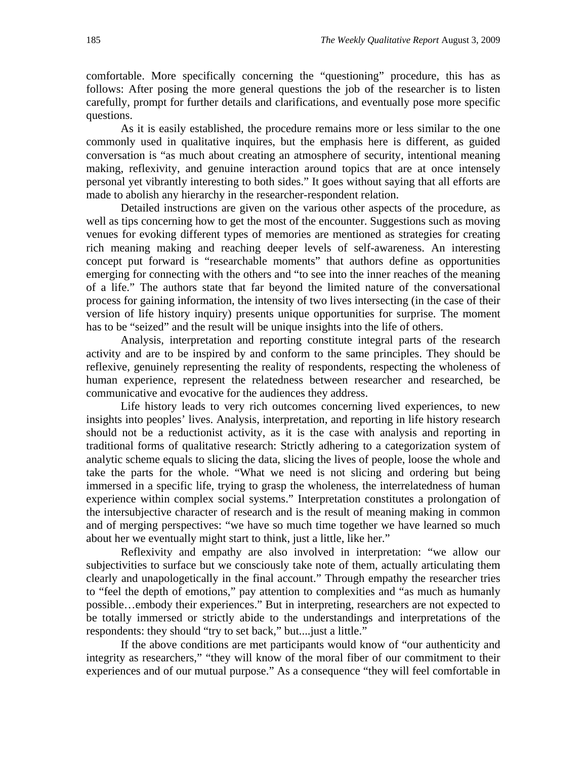comfortable. More specifically concerning the "questioning" procedure, this has as follows: After posing the more general questions the job of the researcher is to listen carefully, prompt for further details and clarifications, and eventually pose more specific questions.

As it is easily established, the procedure remains more or less similar to the one commonly used in qualitative inquires, but the emphasis here is different, as guided conversation is "as much about creating an atmosphere of security, intentional meaning making, reflexivity, and genuine interaction around topics that are at once intensely personal yet vibrantly interesting to both sides." It goes without saying that all efforts are made to abolish any hierarchy in the researcher-respondent relation.

Detailed instructions are given on the various other aspects of the procedure, as well as tips concerning how to get the most of the encounter. Suggestions such as moving venues for evoking different types of memories are mentioned as strategies for creating rich meaning making and reaching deeper levels of self-awareness. An interesting concept put forward is "researchable moments" that authors define as opportunities emerging for connecting with the others and "to see into the inner reaches of the meaning of a life." The authors state that far beyond the limited nature of the conversational process for gaining information, the intensity of two lives intersecting (in the case of their version of life history inquiry) presents unique opportunities for surprise. The moment has to be "seized" and the result will be unique insights into the life of others.

Analysis, interpretation and reporting constitute integral parts of the research activity and are to be inspired by and conform to the same principles. They should be reflexive, genuinely representing the reality of respondents, respecting the wholeness of human experience, represent the relatedness between researcher and researched, be communicative and evocative for the audiences they address.

Life history leads to very rich outcomes concerning lived experiences, to new insights into peoples' lives. Analysis, interpretation, and reporting in life history research should not be a reductionist activity, as it is the case with analysis and reporting in traditional forms of qualitative research: Strictly adhering to a categorization system of analytic scheme equals to slicing the data, slicing the lives of people, loose the whole and take the parts for the whole. "What we need is not slicing and ordering but being immersed in a specific life, trying to grasp the wholeness, the interrelatedness of human experience within complex social systems." Interpretation constitutes a prolongation of the intersubjective character of research and is the result of meaning making in common and of merging perspectives: "we have so much time together we have learned so much about her we eventually might start to think, just a little, like her."

Reflexivity and empathy are also involved in interpretation: "we allow our subjectivities to surface but we consciously take note of them, actually articulating them clearly and unapologetically in the final account." Through empathy the researcher tries to "feel the depth of emotions," pay attention to complexities and "as much as humanly possible…embody their experiences." But in interpreting, researchers are not expected to be totally immersed or strictly abide to the understandings and interpretations of the respondents: they should "try to set back," but....just a little."

If the above conditions are met participants would know of "our authenticity and integrity as researchers," "they will know of the moral fiber of our commitment to their experiences and of our mutual purpose." As a consequence "they will feel comfortable in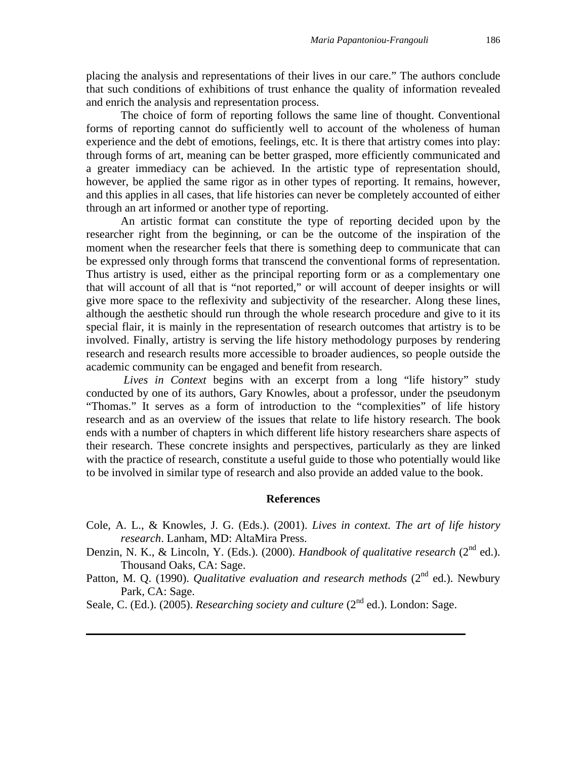placing the analysis and representations of their lives in our care." The authors conclude that such conditions of exhibitions of trust enhance the quality of information revealed and enrich the analysis and representation process.

The choice of form of reporting follows the same line of thought. Conventional forms of reporting cannot do sufficiently well to account of the wholeness of human experience and the debt of emotions, feelings, etc. It is there that artistry comes into play: through forms of art, meaning can be better grasped, more efficiently communicated and a greater immediacy can be achieved. In the artistic type of representation should, however, be applied the same rigor as in other types of reporting. It remains, however, and this applies in all cases, that life histories can never be completely accounted of either through an art informed or another type of reporting.

An artistic format can constitute the type of reporting decided upon by the researcher right from the beginning, or can be the outcome of the inspiration of the moment when the researcher feels that there is something deep to communicate that can be expressed only through forms that transcend the conventional forms of representation. Thus artistry is used, either as the principal reporting form or as a complementary one that will account of all that is "not reported," or will account of deeper insights or will give more space to the reflexivity and subjectivity of the researcher. Along these lines, although the aesthetic should run through the whole research procedure and give to it its special flair, it is mainly in the representation of research outcomes that artistry is to be involved. Finally, artistry is serving the life history methodology purposes by rendering research and research results more accessible to broader audiences, so people outside the academic community can be engaged and benefit from research.

*Lives in Context* begins with an excerpt from a long "life history" study conducted by one of its authors, Gary Knowles, about a professor, under the pseudonym "Thomas." It serves as a form of introduction to the "complexities" of life history research and as an overview of the issues that relate to life history research. The book ends with a number of chapters in which different life history researchers share aspects of their research. These concrete insights and perspectives, particularly as they are linked with the practice of research, constitute a useful guide to those who potentially would like to be involved in similar type of research and also provide an added value to the book.

#### **References**

- Cole, A. L., & Knowles, J. G. (Eds.). (2001). *Lives in context. The art of life history research*. Lanham, MD: AltaMira Press.
- Denzin, N. K., & Lincoln, Y. (Eds.). (2000). *Handbook of qualitative research* (2<sup>nd</sup> ed.). Thousand Oaks, CA: Sage.
- Patton, M. Q. (1990). *Qualitative evaluation and research methods* (2<sup>nd</sup> ed.). Newbury Park, CA: Sage.
- Seale, C. (Ed.). (2005). *Researching society and culture* (2<sup>nd</sup> ed.). London: Sage.